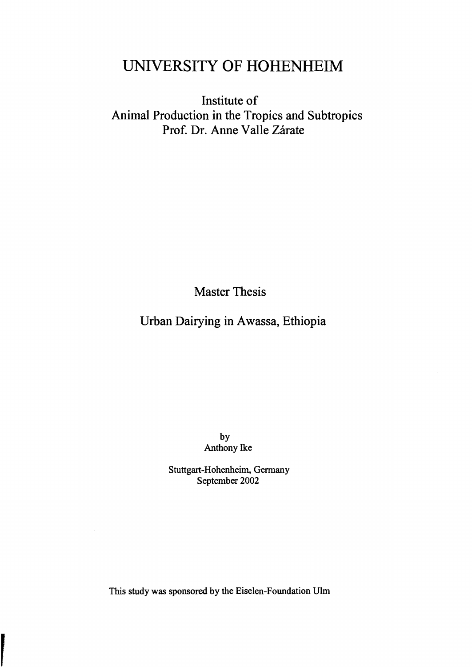## UNlVERSITY OF HOHENHEIM

Institute of Animal Production in the Tropics and Subtropics Prof. Dr. Anne Valle Zárate

Master Thesis

Urban Dairying in Awassa, Ethiopia

by Anthony Ike

Stuttgart-Hohenheim, Germany September 2002

This study was sponsored by the Eiselen-Foundation Ulm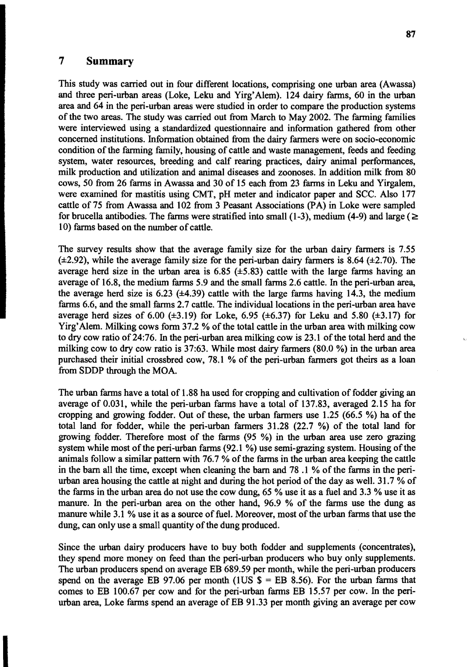## **7 Summary**

This study was carried out in four different locations, comprising one urban area (Awassa) and three peri·urban areas (Loke, Leku and Yirg' Alem). 124 dairy farms, 60 in the urban area and 64 in the peri.urban areas were studied in order to compare the production systems of the two areas. The study was carried out from March to May 2002. The farming families were interviewed using a standardized questionnaire and information gathered from other concerned institutions. Information obtained from the dairy farmers were on socio·economic condition of the farming family, housing of cattle and waste management, feeds and feeding system, water resources, breeding and calf rearing practices, dairy animal performances, milk production and utilization and animal diseases and zoonoses. In addition milk from 80 cows, 50 from 26 farms in Awassa and 30 of 15 each from 23 farms in Leku and Yirgalem, were examined for mastitis using CMT, pH meter and indicator paper and SCC. Also 177 cattle of 75 from Awassa and 102 from 3 Peasant Associations (PA) in Loke were sampled for brucella antibodies. The farms were stratified into small (1-3), medium (4-9) and large ( $\ge$ 10) farms based on the number of cattle.

The survey results show that the average family size for the urban dairy farmers is 7.55  $(\pm 2.92)$ , while the average family size for the peri-urban dairy farmers is 8.64 ( $\pm 2.70$ ). The average herd size in the urban area is  $6.85$  ( $\pm 5.83$ ) cattle with the large farms having an average of 16.8, the medium farms 5.9 and the small farms 2.6 cattle. In the peri-urban area, the average herd size is  $6.23$  ( $\pm 4.39$ ) cattle with the large farms having 14.3, the medium farms 6.6, and the small farms 2.7 cattle. The individual locations in the peri-urban area have average herd sizes of 6.00  $(\pm 3.19)$  for Loke, 6.95  $(\pm 6.37)$  for Leku and 5.80  $(\pm 3.17)$  for Yirg'Alem. Milking cows form 37.2 % of the total cattle in the urban area with milking cow to dry cow ratio of 24:76. In the peri-urban area milking cow is 23.1 of the total herd and the milking cow to dry cow ratio is 37:63. While most dairy farmers (80.0 %) in the urban area purchased their initial crossbred cow, 78.1 % of the peri·urban farmers got theirs as a loan from SDDP through the MOA.

The urban farms have a total of 1.88 ha used for cropping and cultivation of fodder giving an average of 0.031, while the peri-urban farms have a total of 137.83, averaged 2.15 ha for cropping and growing fodder. Out of these, the urban farmers use 1.25 (66.5 %) ha of the total land for fodder, while the peri.urban farmers 31.28 (22.7 %) of the total land for growing fodder. Therefore most of the farms (95 %) in the urban area use zero grazing system while most of the peri-urban farms (92.1 %) use semi-grazing system. Housing of the animals follow a similar pattern with 76.7 % of the farms in the urban area keeping the cattle in the bam all the time, except when cleaning the bam and 78 .1 % of the farms in the periurban area housing the cattle at night and during the hot period of the day as weIl. 31.7 % of the farms in the urban area do not use the cow dung, 65 % use it as a fuel and 3.3 % use it as manure. In the peri-urban area on the other hand, 96.9 % of the farms use the dung as manure while 3.1 % use it as a source of fuel. Moreover, most of the urban farms that use the dung, can only use a small quantity of the dung produced.

Since the urban dairy producers have to buy both fodder and supplements (concentrates), they spend more money on feed than the peri-urban producers who buy only supplements. The urban producers spend on average EB 689.59 per month, while the peri-urban producers spend on the average EB 97.06 per month (1US  $\$  = EB 8.56). For the urban farms that comes to EB 100.67 per cow and for the peri-urban farms EB 15.57 per cow. In the periurban area, Loke farms spend an average of EB 91.33 per month giving an average per cow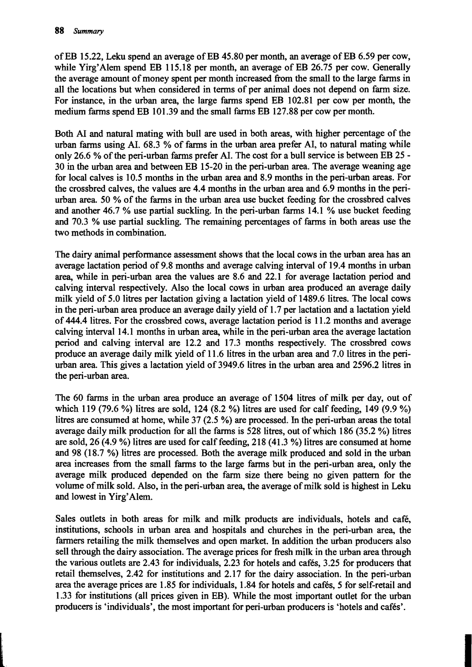of EB 15.22, Leku spend an average of EB 45.80 per month, an average of EB 6.59 per cow, while Yirg' Alem spend EB 115.18 per month, an average of EB 26.75 per cow. Generally the average amount of money spent per month increased from the small to the large farms in a11 the locations but when considered in terms of per animal does not depend on farm size. For instance, in the urban area, the large farms spend EB 102.81 per cow per month, the medium farms spend EB 101.39 and the small farms EB 127.88 per cow per month.

Both AI and natural mating with bull are used in both areas, with higher percentage of the urban farms using AI. 68.3 % of farms in the urban area prefer AI, to natural mating while only 26.6 % of the perl-urban farms prefer AI. The *cast* for a bull service is between EB 25 30 in the urban area and between EB 15-20 in the perl-urban area. The average weaning age for local calves is 10.5 months in the urban area and 8.9 months in the peri-urban areas. For the crossbred calves, the values are 4.4 months in the urban area and 6.9 months in the perlurban area. 50 % of the farms in the urban area use bucket feeding for the crossbred calves and another 46.7 % use partial suckling. In the peri-urban farms 14.1 % use bucket feeding and 70.3 % use partial suckling. The remaining percentages of farms in both areas use the two methods in combination.

The dairy animal performance assessment shows that the local cows in the urban area has an average lactation period of 9.8 months and average calving interval of 19.4 months in urban area, while in peri-urban area the values are 8.6 and 22.1 for average lactation period and calving interval respectively. Also the local cows in urban area produced an average daily milk yield of 5.0 litres per lactation giving a lactation yield of 1489.6 litres. The local cows in the peri-urban area produce an average daily yield of 1.7 per lactation and a lactation yield of 444.4 litres. For the crossbred cows, average lactation period is 11.2 months and average calving interval 14.1 months in urban area, while in the peri-urban area the average lactation period and calving interval are 12.2 and 17.3 months respectively. The crossbred cows produce an average daily milk yield of 11.6 litres in the urban area and 7.0 litres in the perlurban area. This gives a lactation yield of 3949.6 litres in the urban area and 2596.2 litres in the peri-urban area.

The 60 farms in the urban area produce an average of 1504 litres of milk per day, out of which 119 (79.6 %) litres are sold, 124 (8.2 %) litres are used for calf feeding, 149 (9.9 %) litres are consumed at home, while  $37$  (2.5 %) are processed. In the peri-urban areas the total average daily milk production for all the farms is 528 litres, out of which 186 (35.2 %) litres are sold, 26 (4.9 %) litres are used for calf feeding, 218 (41.3 %) litres are consumed at home and 98 (18.7 %) litres are processed. Both the average milk produced and sold in the urban area increases from the small farms to the large farms but in the perl-urban area, only the average milk produced depended on the farm size there being no given pattern for the volume ofmilk sold. Also, in the perl-urban area, the average ofmilk sold is highest in Leku and lowest in Yirg' Alem.

Sales outlets in both areas for milk and milk products are individuals, hotels and cafe, institutions, schools in urban area and hospitals and churches in the perl-urban area, the farmers retailing the milk themselves and open market. In addition the urban producers also sell through the dairy association. The average prices for fresh milk in the urban area through the various outlets are 2.43 for individuals, 2.23 for hotels and cafes, 3.25 for producers that retail themselves, 2.42 for institutions and 2.17 for the dairy association. In the peri-urban area the average prices are 1.85 for individuals, 1.84 for hotels and cafés, 5 for self-retail and 1.33 for institutions (all prices given in EB). While the most important outlet for the urban producers is 'individuals', the most important for perl-urban producers is 'hotels and cafes'.